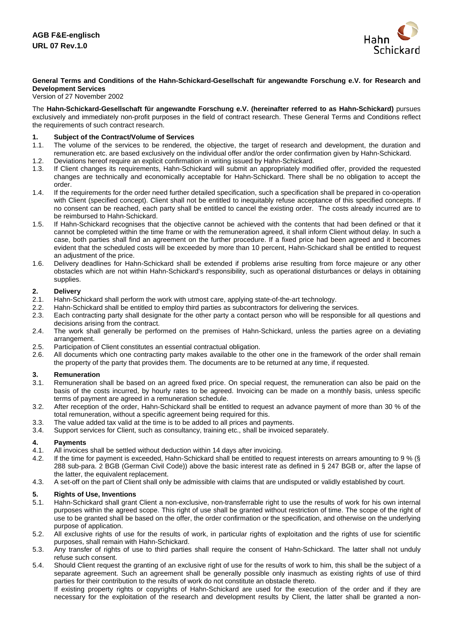

## **General Terms and Conditions of the Hahn-Schickard-Gesellschaft für angewandte Forschung e.V. for Research and Development Services**

#### Version of 27 November 2002

The **Hahn-Schickard-Gesellschaft für angewandte Forschung e.V. (hereinafter referred to as Hahn-Schickard)** pursues exclusively and immediately non-profit purposes in the field of contract research. These General Terms and Conditions reflect the requirements of such contract research.

# **1. Subject of the Contract/Volume of Services**

- 1.1. The volume of the services to be rendered, the objective, the target of research and development, the duration and remuneration etc. are based exclusively on the individual offer and/or the order confirmation given by Hahn-Schickard.
- 1.2. Deviations hereof require an explicit confirmation in writing issued by Hahn-Schickard.
- 1.3. If Client changes its requirements, Hahn-Schickard will submit an appropriately modified offer, provided the requested changes are technically and economically acceptable for Hahn-Schickard. There shall be no obligation to accept the order.
- 1.4. If the requirements for the order need further detailed specification, such a specification shall be prepared in co-operation with Client (specified concept). Client shall not be entitled to inequitably refuse acceptance of this specified concepts. If no consent can be reached, each party shall be entitled to cancel the existing order. The costs already incurred are to be reimbursed to Hahn-Schickard.
- 1.5. If Hahn-Schickard recognises that the objective cannot be achieved with the contents that had been defined or that it cannot be completed within the time frame or with the remuneration agreed, it shall inform Client without delay. In such a case, both parties shall find an agreement on the further procedure. If a fixed price had been agreed and it becomes evident that the scheduled costs will be exceeded by more than 10 percent, Hahn-Schickard shall be entitled to request an adjustment of the price.
- 1.6. Delivery deadlines for Hahn-Schickard shall be extended if problems arise resulting from force majeure or any other obstacles which are not within Hahn-Schickard's responsibility, such as operational disturbances or delays in obtaining supplies.

# **2. Delivery**

- 2.1. Hahn-Schickard shall perform the work with utmost care, applying state-of-the-art technology.<br>2.2. Hahn-Schickard shall be entitled to employ third parties as subcontractors for delivering the se
- 
- 2.2. Hahn-Schickard shall be entitled to employ third parties as subcontractors for delivering the services.<br>2.3. Each contracting party shall designate for the other party a contact person who will be responsible to Each contracting party shall designate for the other party a contact person who will be responsible for all questions and decisions arising from the contract.
- 2.4. The work shall generally be performed on the premises of Hahn-Schickard, unless the parties agree on a deviating arrangement.
- 2.5. Participation of Client constitutes an essential contractual obligation.
- 2.6. All documents which one contracting party makes available to the other one in the framework of the order shall remain the property of the party that provides them. The documents are to be returned at any time, if requested.

# **3. Remuneration**

- Remuneration shall be based on an agreed fixed price. On special request, the remuneration can also be paid on the basis of the costs incurred, by hourly rates to be agreed. Invoicing can be made on a monthly basis, unless specific terms of payment are agreed in a remuneration schedule.
- 3.2. After reception of the order, Hahn-Schickard shall be entitled to request an advance payment of more than 30 % of the total remuneration, without a specific agreement being required for this.
- 3.3. The value added tax valid at the time is to be added to all prices and payments.<br>3.4. Support services for Client, such as consultancy, training etc., shall be invoiced
- Support services for Client, such as consultancy, training etc., shall be invoiced separately.

#### **4. Payments**

- 4.1. All invoices shall be settled without deduction within 14 days after invoicing.
- 4.2. If the time for payment is exceeded, Hahn-Schickard shall be entitled to request interests on arrears amounting to 9 % (§ 288 sub-para. 2 BGB (German Civil Code)) above the basic interest rate as defined in § 247 BGB or, after the lapse of the latter, the equivalent replacement.
- 4.3. A set-off on the part of Client shall only be admissible with claims that are undisputed or validly established by court.

## **5. Rights of Use, Inventions**

- 5.1. Hahn-Schickard shall grant Client a non-exclusive, non-transferrable right to use the results of work for his own internal purposes within the agreed scope. This right of use shall be granted without restriction of time. The scope of the right of use to be granted shall be based on the offer, the order confirmation or the specification, and otherwise on the underlying purpose of application.
- 5.2. All exclusive rights of use for the results of work, in particular rights of exploitation and the rights of use for scientific purposes, shall remain with Hahn-Schickard.
- 5.3. Any transfer of rights of use to third parties shall require the consent of Hahn-Schickard. The latter shall not unduly refuse such consent.
- 5.4. Should Client request the granting of an exclusive right of use for the results of work to him, this shall be the subject of a separate agreement. Such an agreement shall be generally possible only inasmuch as existing rights of use of third parties for their contribution to the results of work do not constitute an obstacle thereto.

If existing property rights or copyrights of Hahn-Schickard are used for the execution of the order and if they are necessary for the exploitation of the research and development results by Client, the latter shall be granted a non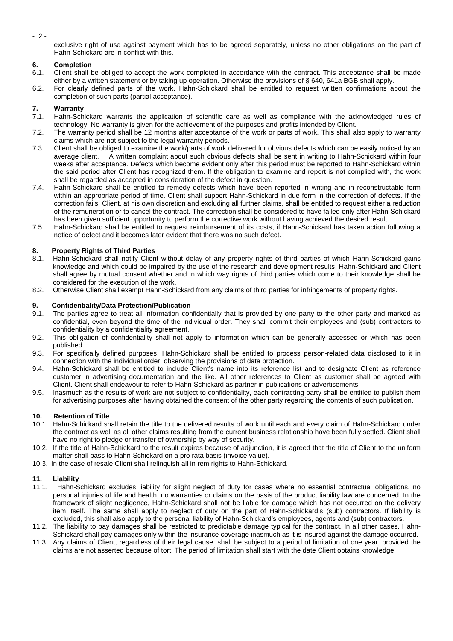- 2 -

exclusive right of use against payment which has to be agreed separately, unless no other obligations on the part of Hahn-Schickard are in conflict with this.

# **6. Completion**

- 6.1. Client shall be obliged to accept the work completed in accordance with the contract. This acceptance shall be made either by a written statement or by taking up operation. Otherwise the provisions of § 640, 641a BGB shall apply.
- 6.2. For clearly defined parts of the work, Hahn-Schickard shall be entitled to request written confirmations about the completion of such parts (partial acceptance).

# **7. Warranty**

- 7.1. Hahn-Schickard warrants the application of scientific care as well as compliance with the acknowledged rules of technology. No warranty is given for the achievement of the purposes and profits intended by Client.
- 7.2. The warranty period shall be 12 months after acceptance of the work or parts of work. This shall also apply to warranty claims which are not subject to the legal warranty periods.
- 7.3. Client shall be obliged to examine the work/parts of work delivered for obvious defects which can be easily noticed by an average client. A written complaint about such obvious defects shall be sent in writing to Hahn-Schickard within four weeks after acceptance. Defects which become evident only after this period must be reported to Hahn-Schickard within the said period after Client has recognized them. If the obligation to examine and report is not complied with, the work shall be regarded as accepted in consideration of the defect in question.
- 7.4. Hahn-Schickard shall be entitled to remedy defects which have been reported in writing and in reconstructable form within an appropriate period of time. Client shall support Hahn-Schickard in due form in the correction of defects. If the correction fails, Client, at his own discretion and excluding all further claims, shall be entitled to request either a reduction of the remuneration or to cancel the contract. The correction shall be considered to have failed only after Hahn-Schickard has been given sufficient opportunity to perform the corrective work without having achieved the desired result.
- 7.5. Hahn-Schickard shall be entitled to request reimbursement of its costs, if Hahn-Schickard has taken action following a notice of defect and it becomes later evident that there was no such defect.

# **8.** Property Rights of Third Parties<br>**8.1.** Hahn-Schickard shall notify Clien

- Hahn-Schickard shall notify Client without delay of any property rights of third parties of which Hahn-Schickard gains knowledge and which could be impaired by the use of the research and development results. Hahn-Schickard and Client shall agree by mutual consent whether and in which way rights of third parties which come to their knowledge shall be considered for the execution of the work.
- 8.2. Otherwise Client shall exempt Hahn-Schickard from any claims of third parties for infringements of property rights.

# **9.** Confidentiality/Data Protection/Publication **9.1.** The parties agree to treat all information con

- The parties agree to treat all information confidentially that is provided by one party to the other party and marked as confidential, even beyond the time of the individual order. They shall commit their employees and (sub) contractors to confidentiality by a confidentiality agreement.
- 9.2. This obligation of confidentiality shall not apply to information which can be generally accessed or which has been published.
- 9.3. For specifically defined purposes, Hahn-Schickard shall be entitled to process person-related data disclosed to it in connection with the individual order, observing the provisions of data protection.
- 9.4. Hahn-Schickard shall be entitled to include Client's name into its reference list and to designate Client as reference customer in advertising documentation and the like. All other references to Client as customer shall be agreed with Client. Client shall endeavour to refer to Hahn-Schickard as partner in publications or advertisements.
- 9.5. Inasmuch as the results of work are not subject to confidentiality, each contracting party shall be entitled to publish them for advertising purposes after having obtained the consent of the other party regarding the contents of such publication.

## **10. Retention of Title**

- 10.1. Hahn-Schickard shall retain the title to the delivered results of work until each and every claim of Hahn-Schickard under the contract as well as all other claims resulting from the current business relationship have been fully settled. Client shall have no right to pledge or transfer of ownership by way of security.
- 10.2. If the title of Hahn-Schickard to the result expires because of adjunction, it is agreed that the title of Client to the uniform matter shall pass to Hahn-Schickard on a pro rata basis (invoice value).
- 10.3. In the case of resale Client shall relinquish all in rem rights to Hahn-Schickard.

## **11. Liability**

- 11.1. Hahn-Schickard excludes liability for slight neglect of duty for cases where no essential contractual obligations, no personal injuries of life and health, no warranties or claims on the basis of the product liability law are concerned. In the framework of slight negligence, Hahn-Schickard shall not be liable for damage which has not occurred on the delivery item itself. The same shall apply to neglect of duty on the part of Hahn-Schickard's (sub) contractors. If liability is excluded, this shall also apply to the personal liability of Hahn-Schickard's employees, agents and (sub) contractors.
- 11.2. The liability to pay damages shall be restricted to predictable damage typical for the contract. In all other cases, Hahn-Schickard shall pay damages only within the insurance coverage inasmuch as it is insured against the damage occurred.
- 11.3. Any claims of Client, regardless of their legal cause, shall be subject to a period of limitation of one year, provided the claims are not asserted because of tort. The period of limitation shall start with the date Client obtains knowledge.